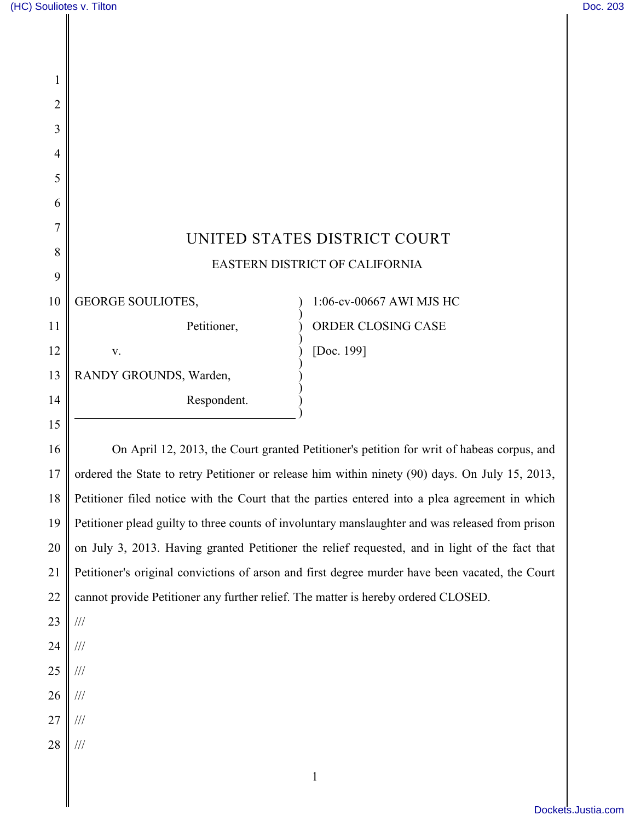| 1       |                                                                                    |                                                                                                  |
|---------|------------------------------------------------------------------------------------|--------------------------------------------------------------------------------------------------|
| 2       |                                                                                    |                                                                                                  |
| 3       |                                                                                    |                                                                                                  |
| 4       |                                                                                    |                                                                                                  |
| 5       |                                                                                    |                                                                                                  |
| 6       |                                                                                    |                                                                                                  |
| 7       |                                                                                    | UNITED STATES DISTRICT COURT                                                                     |
| 8       | EASTERN DISTRICT OF CALIFORNIA                                                     |                                                                                                  |
| 9<br>10 | <b>GEORGE SOULIOTES,</b>                                                           | 1:06-cv-00667 AWI MJS HC                                                                         |
|         |                                                                                    |                                                                                                  |
| 11      | Petitioner,                                                                        | ORDER CLOSING CASE                                                                               |
| 12      | V.                                                                                 | [Doc. 199]                                                                                       |
| 13      | RANDY GROUNDS, Warden,                                                             |                                                                                                  |
| 14      | Respondent.                                                                        |                                                                                                  |
| 15      |                                                                                    |                                                                                                  |
| 16      |                                                                                    | On April 12, 2013, the Court granted Petitioner's petition for writ of habeas corpus, and        |
| 17      |                                                                                    | ordered the State to retry Petitioner or release him within ninety (90) days. On July 15, 2013,  |
| 18      |                                                                                    | Petitioner filed notice with the Court that the parties entered into a plea agreement in which   |
| 19      |                                                                                    | Petitioner plead guilty to three counts of involuntary manslaughter and was released from prison |
| 20      |                                                                                    | on July 3, 2013. Having granted Petitioner the relief requested, and in light of the fact that   |
| 21      |                                                                                    | Petitioner's original convictions of arson and first degree murder have been vacated, the Court  |
| 22      | cannot provide Petitioner any further relief. The matter is hereby ordered CLOSED. |                                                                                                  |
| 23      | $\frac{1}{1}$                                                                      |                                                                                                  |
| 24      | $\frac{1}{1}$                                                                      |                                                                                                  |

- 25 ///
- 26 ///
- 27 ///
- 28 ///